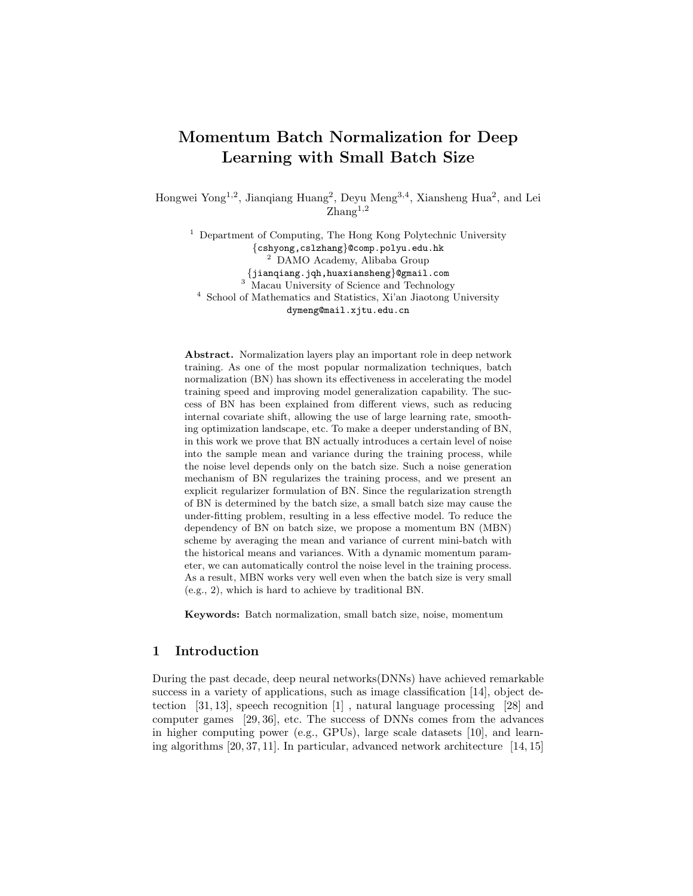# Momentum Batch Normalization for Deep Learning with Small Batch Size

Hongwei Yong<sup>1,2</sup>, Jianqiang Huang<sup>2</sup>, Deyu Meng<sup>3,4</sup>, Xiansheng Hua<sup>2</sup>, and Lei  $\mathrm{Zhang}^{1,2}$ 

<sup>1</sup> Department of Computing, The Hong Kong Polytechnic University {cshyong,cslzhang}@comp.polyu.edu.hk <sup>2</sup> DAMO Academy, Alibaba Group {jianqiang.jqh,huaxiansheng}@gmail.com  $3 \text{ Macau University of Science and Technology}$ <sup>4</sup> School of Mathematics and Statistics, Xi'an Jiaotong University dymeng@mail.xjtu.edu.cn

Abstract. Normalization layers play an important role in deep network training. As one of the most popular normalization techniques, batch normalization (BN) has shown its effectiveness in accelerating the model training speed and improving model generalization capability. The success of BN has been explained from different views, such as reducing internal covariate shift, allowing the use of large learning rate, smoothing optimization landscape, etc. To make a deeper understanding of BN, in this work we prove that BN actually introduces a certain level of noise into the sample mean and variance during the training process, while the noise level depends only on the batch size. Such a noise generation mechanism of BN regularizes the training process, and we present an explicit regularizer formulation of BN. Since the regularization strength of BN is determined by the batch size, a small batch size may cause the under-fitting problem, resulting in a less effective model. To reduce the dependency of BN on batch size, we propose a momentum BN (MBN) scheme by averaging the mean and variance of current mini-batch with the historical means and variances. With a dynamic momentum parameter, we can automatically control the noise level in the training process. As a result, MBN works very well even when the batch size is very small (e.g., 2), which is hard to achieve by traditional BN.

Keywords: Batch normalization, small batch size, noise, momentum

# 1 Introduction

During the past decade, deep neural networks(DNNs) have achieved remarkable success in a variety of applications, such as image classification  $[14]$ , object detection [31, 13], speech recognition [1] , natural language processing [28] and computer games [29, 36], etc. The success of DNNs comes from the advances in higher computing power (e.g., GPUs), large scale datasets [10], and learning algorithms [20, 37, 11]. In particular, advanced network architecture [14, 15]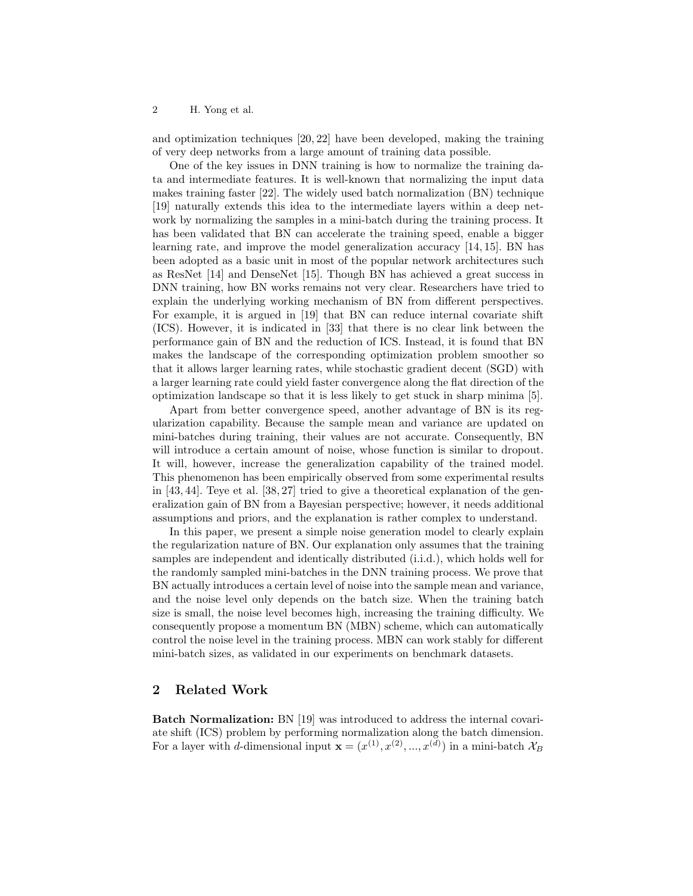and optimization techniques [20, 22] have been developed, making the training of very deep networks from a large amount of training data possible.

One of the key issues in DNN training is how to normalize the training data and intermediate features. It is well-known that normalizing the input data makes training faster [22]. The widely used batch normalization (BN) technique [19] naturally extends this idea to the intermediate layers within a deep network by normalizing the samples in a mini-batch during the training process. It has been validated that BN can accelerate the training speed, enable a bigger learning rate, and improve the model generalization accuracy [14, 15]. BN has been adopted as a basic unit in most of the popular network architectures such as ResNet [14] and DenseNet [15]. Though BN has achieved a great success in DNN training, how BN works remains not very clear. Researchers have tried to explain the underlying working mechanism of BN from different perspectives. For example, it is argued in [19] that BN can reduce internal covariate shift (ICS). However, it is indicated in [33] that there is no clear link between the performance gain of BN and the reduction of ICS. Instead, it is found that BN makes the landscape of the corresponding optimization problem smoother so that it allows larger learning rates, while stochastic gradient decent (SGD) with a larger learning rate could yield faster convergence along the flat direction of the optimization landscape so that it is less likely to get stuck in sharp minima [5].

Apart from better convergence speed, another advantage of BN is its regularization capability. Because the sample mean and variance are updated on mini-batches during training, their values are not accurate. Consequently, BN will introduce a certain amount of noise, whose function is similar to dropout. It will, however, increase the generalization capability of the trained model. This phenomenon has been empirically observed from some experimental results in [43, 44]. Teye et al. [38, 27] tried to give a theoretical explanation of the generalization gain of BN from a Bayesian perspective; however, it needs additional assumptions and priors, and the explanation is rather complex to understand.

In this paper, we present a simple noise generation model to clearly explain the regularization nature of BN. Our explanation only assumes that the training samples are independent and identically distributed (i.i.d.), which holds well for the randomly sampled mini-batches in the DNN training process. We prove that BN actually introduces a certain level of noise into the sample mean and variance, and the noise level only depends on the batch size. When the training batch size is small, the noise level becomes high, increasing the training difficulty. We consequently propose a momentum BN (MBN) scheme, which can automatically control the noise level in the training process. MBN can work stably for different mini-batch sizes, as validated in our experiments on benchmark datasets.

# 2 Related Work

Batch Normalization: BN [19] was introduced to address the internal covariate shift (ICS) problem by performing normalization along the batch dimension. For a layer with *d*-dimensional input  $\mathbf{x} = (x^{(1)}, x^{(2)}, ..., x^{(d)})$  in a mini-batch  $\mathcal{X}_B$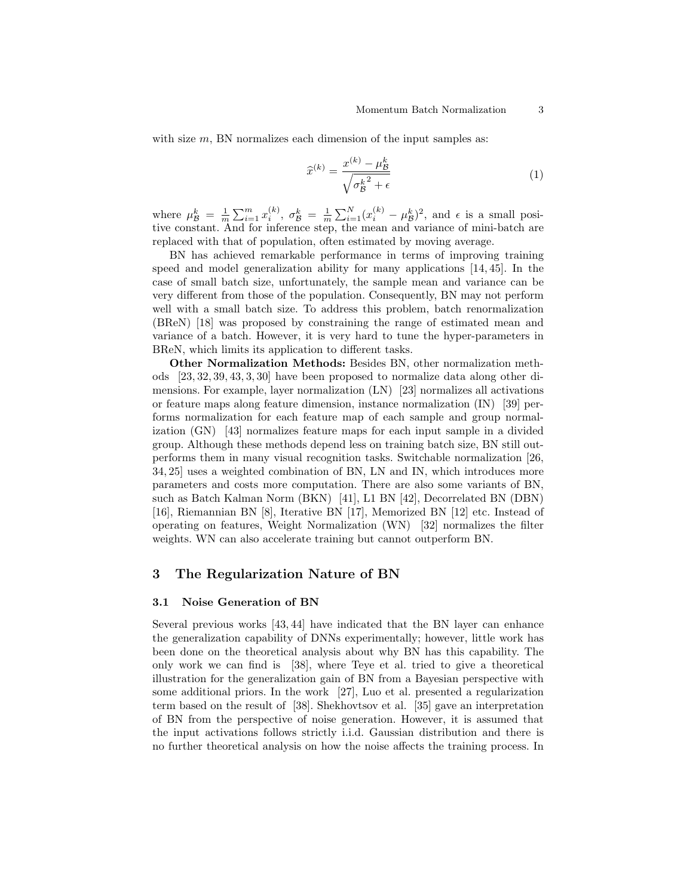with size  $m$ , BN normalizes each dimension of the input samples as:

$$
\widehat{x}^{(k)} = \frac{x^{(k)} - \mu_B^k}{\sqrt{\sigma_B^{k^2} + \epsilon}}\tag{1}
$$

where  $\mu_{\mathcal{B}}^k = \frac{1}{m} \sum_{i=1}^m x_i^{(k)}$ ,  $\sigma_{\mathcal{B}}^k = \frac{1}{m} \sum_{i=1}^N (x_i^{(k)} - \mu_{\mathcal{B}}^k)^2$ , and  $\epsilon$  is a small positive constant. And for inference step, the mean and variance of mini-batch are replaced with that of population, often estimated by moving average.

BN has achieved remarkable performance in terms of improving training speed and model generalization ability for many applications [14, 45]. In the case of small batch size, unfortunately, the sample mean and variance can be very different from those of the population. Consequently, BN may not perform well with a small batch size. To address this problem, batch renormalization (BReN) [18] was proposed by constraining the range of estimated mean and variance of a batch. However, it is very hard to tune the hyper-parameters in BReN, which limits its application to different tasks.

Other Normalization Methods: Besides BN, other normalization methods [23, 32, 39, 43, 3, 30] have been proposed to normalize data along other dimensions. For example, layer normalization (LN) [23] normalizes all activations or feature maps along feature dimension, instance normalization (IN) [39] performs normalization for each feature map of each sample and group normalization (GN) [43] normalizes feature maps for each input sample in a divided group. Although these methods depend less on training batch size, BN still outperforms them in many visual recognition tasks. Switchable normalization [26, 34, 25] uses a weighted combination of BN, LN and IN, which introduces more parameters and costs more computation. There are also some variants of BN, such as Batch Kalman Norm (BKN) [41], L1 BN [42], Decorrelated BN (DBN) [16], Riemannian BN [8], Iterative BN [17], Memorized BN [12] etc. Instead of operating on features, Weight Normalization (WN) [32] normalizes the filter weights. WN can also accelerate training but cannot outperform BN.

## 3 The Regularization Nature of BN

#### 3.1 Noise Generation of BN

Several previous works [43, 44] have indicated that the BN layer can enhance the generalization capability of DNNs experimentally; however, little work has been done on the theoretical analysis about why BN has this capability. The only work we can find is [38], where Teye et al. tried to give a theoretical illustration for the generalization gain of BN from a Bayesian perspective with some additional priors. In the work [27], Luo et al. presented a regularization term based on the result of [38]. Shekhovtsov et al. [35] gave an interpretation of BN from the perspective of noise generation. However, it is assumed that the input activations follows strictly i.i.d. Gaussian distribution and there is no further theoretical analysis on how the noise affects the training process. In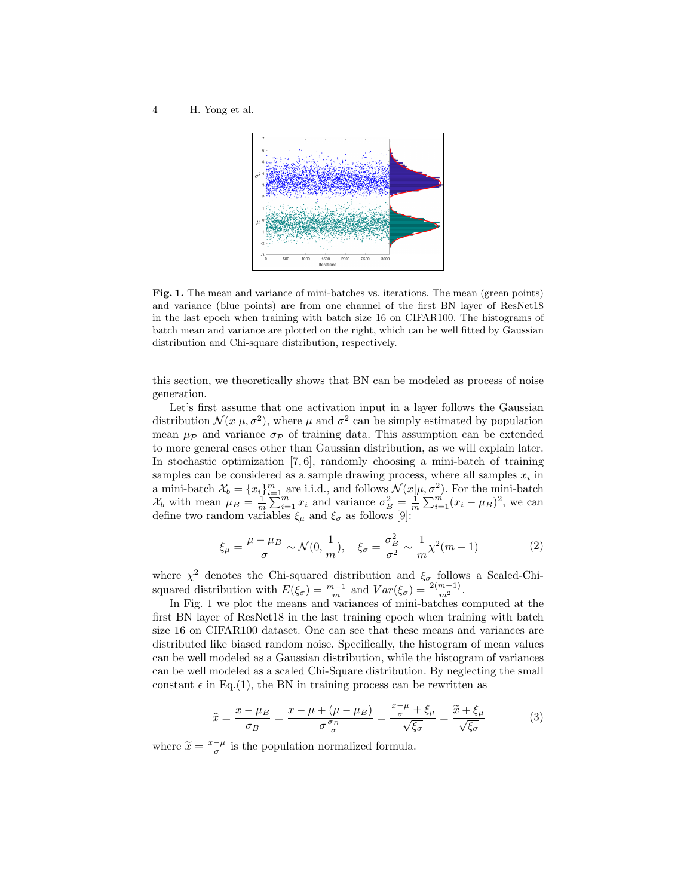4 H. Yong et al.



Fig. 1. The mean and variance of mini-batches vs. iterations. The mean (green points) and variance (blue points) are from one channel of the first BN layer of ResNet18 in the last epoch when training with batch size 16 on CIFAR100. The histograms of batch mean and variance are plotted on the right, which can be well fitted by Gaussian distribution and Chi-square distribution, respectively.

this section, we theoretically shows that BN can be modeled as process of noise generation.

Let's first assume that one activation input in a layer follows the Gaussian distribution  $\mathcal{N}(x|\mu, \sigma^2)$ , where  $\mu$  and  $\sigma^2$  can be simply estimated by population mean  $\mu_{\mathcal{P}}$  and variance  $\sigma_{\mathcal{P}}$  of training data. This assumption can be extended to more general cases other than Gaussian distribution, as we will explain later. In stochastic optimization  $[7, 6]$ , randomly choosing a mini-batch of training samples can be considered as a sample drawing process, where all samples  $x_i$  in a mini-batch  $\mathcal{X}_b = \{x_i\}_{i=1}^m$  are i.i.d., and follows  $\mathcal{N}(x|\mu, \sigma^2)$ . For the mini-batch  $\mathcal{X}_b$  with mean  $\mu_B = \frac{1}{m} \sum_{i=1}^m x_i$  and variance  $\sigma_B^2 = \frac{1}{m} \sum_{i=1}^m (x_i - \mu_B)^2$ , we can define two random variables  $\xi_{\mu}$  and  $\xi_{\sigma}$  as follows [9]:

$$
\xi_{\mu} = \frac{\mu - \mu_B}{\sigma} \sim \mathcal{N}(0, \frac{1}{m}), \quad \xi_{\sigma} = \frac{\sigma_B^2}{\sigma^2} \sim \frac{1}{m} \chi^2(m - 1) \tag{2}
$$

where  $\chi^2$  denotes the Chi-squared distribution and  $\xi_{\sigma}$  follows a Scaled-Chisquared distribution with  $E(\xi_{\sigma}) = \frac{m-1}{m}$  and  $Var(\xi_{\sigma}) = \frac{2(m-1)}{m^2}$ .

In Fig. 1 we plot the means and variances of mini-batches computed at the first BN layer of ResNet18 in the last training epoch when training with batch size 16 on CIFAR100 dataset. One can see that these means and variances are distributed like biased random noise. Specifically, the histogram of mean values can be well modeled as a Gaussian distribution, while the histogram of variances can be well modeled as a scaled Chi-Square distribution. By neglecting the small constant  $\epsilon$  in Eq.(1), the BN in training process can be rewritten as

$$
\widehat{x} = \frac{x - \mu_B}{\sigma_B} = \frac{x - \mu + (\mu - \mu_B)}{\sigma \frac{\sigma_B}{\sigma}} = \frac{\frac{x - \mu}{\sigma} + \xi_\mu}{\sqrt{\xi_\sigma}} = \frac{\widetilde{x} + \xi_\mu}{\sqrt{\xi_\sigma}}
$$
(3)

where  $\widetilde{x} = \frac{x - \mu}{\sigma}$  is the population normalized formula.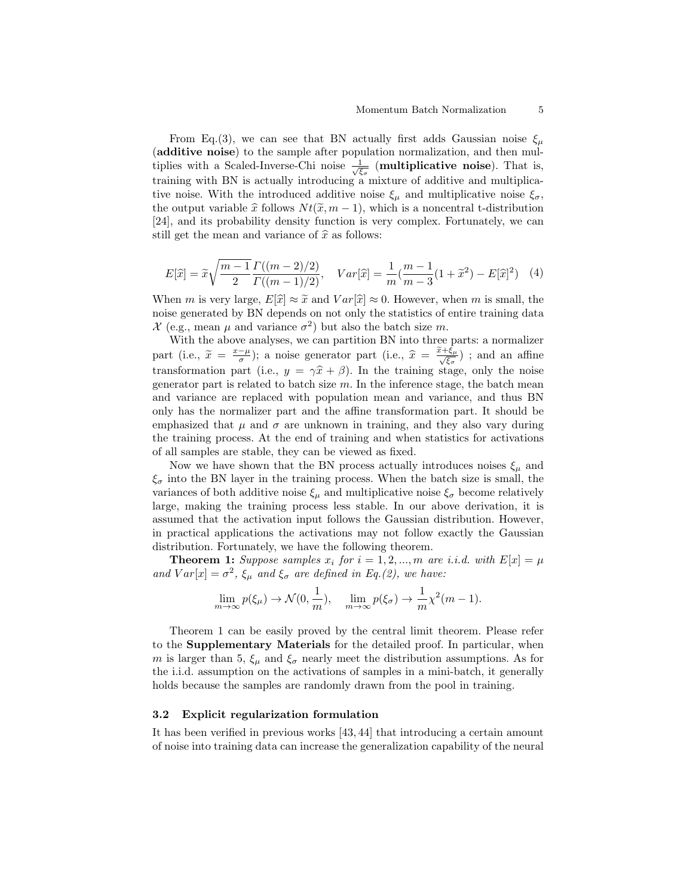From Eq.(3), we can see that BN actually first adds Gaussian noise  $\xi_{\mu}$ (additive noise) to the sample after population normalization, and then multiplies with a Scaled-Inverse-Chi noise  $\frac{1}{\sqrt{\xi_{\sigma}}}$  (multiplicative noise). That is, training with BN is actually introducing a mixture of additive and multiplicative noise. With the introduced additive noise  $\xi_{\mu}$  and multiplicative noise  $\xi_{\sigma}$ , the output variable  $\hat{x}$  follows  $N t(\tilde{x}, m - 1)$ , which is a noncentral t-distribution [24], and its probability density function is very complex. Fortunately, we can still get the mean and variance of  $\hat{x}$  as follows:

$$
E[\hat{x}] = \tilde{x}\sqrt{\frac{m-1}{2}} \frac{\Gamma((m-2)/2)}{\Gamma((m-1)/2)}, \quad Var[\hat{x}] = \frac{1}{m} (\frac{m-1}{m-3}(1+\tilde{x}^2) - E[\hat{x}]^2)
$$
(4)

When m is very large,  $E[\hat{x}] \approx \tilde{x}$  and  $Var[\hat{x}] \approx 0$ . However, when m is small, the noise generated by BN depends on not only the statistics of entire training data  $\mathcal{X}$  (e.g., mean  $\mu$  and variance  $\sigma^2$ ) but also the batch size m.

With the above analyses, we can partition BN into three parts: a normalizer part (i.e.,  $\widetilde{x} = \frac{x-\mu}{\sigma}$ ); a noise generator part (i.e.,  $\widehat{x} = \frac{\widetilde{x}+\xi_{\mu}}{\sqrt{\xi_{\sigma}}}$  $\frac{\partial^2 \xi}{\partial \xi_{\sigma}}$ ); and an affine transformation part (i.e.,  $y = \gamma \hat{x} + \beta$ ). In the training stage, only the noise<br>concreter part is related to batch size m. In the inference stage, the batch mean generator part is related to batch size  $m$ . In the inference stage, the batch mean and variance are replaced with population mean and variance, and thus BN only has the normalizer part and the affine transformation part. It should be emphasized that  $\mu$  and  $\sigma$  are unknown in training, and they also vary during the training process. At the end of training and when statistics for activations of all samples are stable, they can be viewed as fixed.

Now we have shown that the BN process actually introduces noises  $\xi_{\mu}$  and  $\xi_{\sigma}$  into the BN layer in the training process. When the batch size is small, the variances of both additive noise  $\xi_{\mu}$  and multiplicative noise  $\xi_{\sigma}$  become relatively large, making the training process less stable. In our above derivation, it is assumed that the activation input follows the Gaussian distribution. However, in practical applications the activations may not follow exactly the Gaussian distribution. Fortunately, we have the following theorem.

**Theorem 1:** Suppose samples  $x_i$  for  $i = 1, 2, ..., m$  are i.i.d. with  $E[x] = \mu$ and  $Var[x] = \sigma^2$ ,  $\xi_{\mu}$  and  $\xi_{\sigma}$  are defined in Eq.(2), we have:

$$
\lim_{m \to \infty} p(\xi_{\mu}) \to \mathcal{N}(0, \frac{1}{m}), \quad \lim_{m \to \infty} p(\xi_{\sigma}) \to \frac{1}{m} \chi^2(m-1).
$$

Theorem 1 can be easily proved by the central limit theorem. Please refer to the Supplementary Materials for the detailed proof. In particular, when m is larger than 5,  $\xi_{\mu}$  and  $\xi_{\sigma}$  nearly meet the distribution assumptions. As for the i.i.d. assumption on the activations of samples in a mini-batch, it generally holds because the samples are randomly drawn from the pool in training.

## 3.2 Explicit regularization formulation

It has been verified in previous works [43, 44] that introducing a certain amount of noise into training data can increase the generalization capability of the neural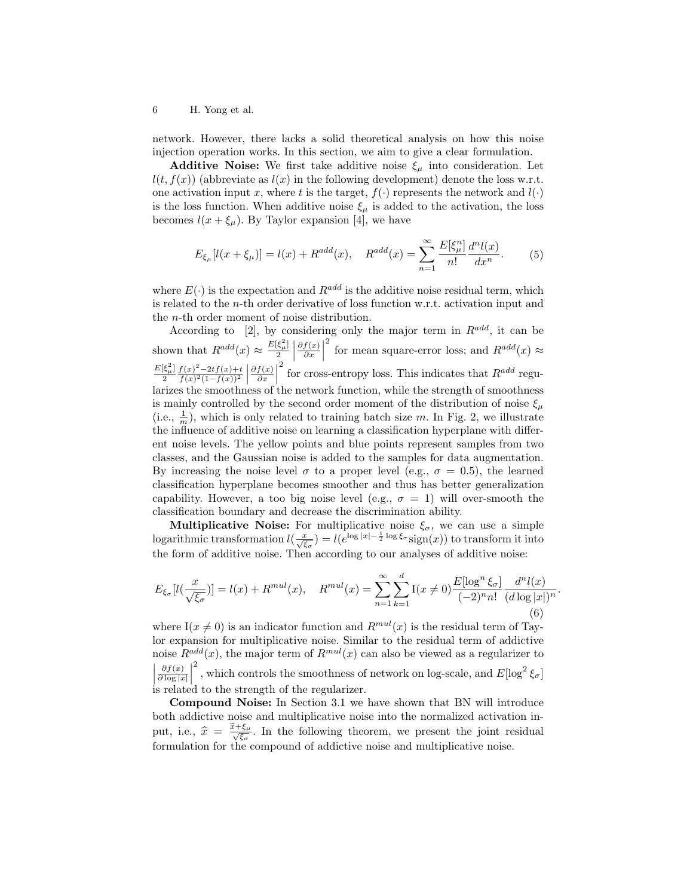network. However, there lacks a solid theoretical analysis on how this noise injection operation works. In this section, we aim to give a clear formulation.

**Additive Noise:** We first take additive noise  $\xi_{\mu}$  into consideration. Let  $l(t, f(x))$  (abbreviate as  $l(x)$  in the following development) denote the loss w.r.t. one activation input x, where t is the target,  $f(\cdot)$  represents the network and  $l(\cdot)$ is the loss function. When additive noise  $\xi_{\mu}$  is added to the activation, the loss becomes  $l(x + \xi_\mu)$ . By Taylor expansion [4], we have

$$
E_{\xi_{\mu}}[l(x+\xi_{\mu})] = l(x) + R^{add}(x), \quad R^{add}(x) = \sum_{n=1}^{\infty} \frac{E[\xi_{\mu}^{n}]}{n!} \frac{d^{n}l(x)}{dx^{n}}.
$$
 (5)

where  $E(\cdot)$  is the expectation and  $R^{add}$  is the additive noise residual term, which is related to the n-th order derivative of loss function w.r.t. activation input and the n-th order moment of noise distribution.

According to [2], by considering only the major term in  $R^{add}$ , it can be shown that  $R^{add}(x) \approx \frac{E[\xi_{\mu}^2]}{2}$  $\partial f(x)$  $\frac{f(x)}{\partial x}$ <sup>2</sup> for mean square-error loss; and  $R^{add}(x) \approx$  $\frac{E[\xi_\mu^2]}{2}$  $f(x)^{2}-2tf(x)+t$  $\frac{f(x)^2 - 2tf(x) + t}{f(x)^2(1 - f(x))^2}$  $\partial f(x)$  $\frac{f(x)}{\partial x}$ <sup>2</sup> for cross-entropy loss. This indicates that  $R^{add}$  regularizes the smoothness of the network function, while the strength of smoothness is mainly controlled by the second order moment of the distribution of noise  $\xi_{\mu}$ (i.e.,  $\frac{1}{m}$ ), which is only related to training batch size m. In Fig. 2, we illustrate the influence of additive noise on learning a classification hyperplane with different noise levels. The yellow points and blue points represent samples from two classes, and the Gaussian noise is added to the samples for data augmentation. By increasing the noise level  $\sigma$  to a proper level (e.g.,  $\sigma = 0.5$ ), the learned classification hyperplane becomes smoother and thus has better generalization capability. However, a too big noise level (e.g.,  $\sigma = 1$ ) will over-smooth the classification boundary and decrease the discrimination ability.

Multiplicative Noise: For multiplicative noise  $\xi_{\sigma}$ , we can use a simple logarithmic transformation  $l(\frac{x}{\sqrt{\xi_{\sigma}}}) = l(e^{\log|x| - \frac{1}{2}\log\xi_{\sigma}}\text{sign}(x))$  to transform it into the form of additive noise. Then according to our analyses of additive noise:

$$
E_{\xi_{\sigma}}[l(\frac{x}{\sqrt{\xi_{\sigma}}})] = l(x) + R^{mul}(x), \quad R^{mul}(x) = \sum_{n=1}^{\infty} \sum_{k=1}^{d} I(x \neq 0) \frac{E[\log^{n} \xi_{\sigma}]}{(-2)^{n} n!} \frac{d^{n} l(x)}{(d \log |x|)^{n}}
$$
(6)

.

where I( $x \neq 0$ ) is an indicator function and  $R^{mul}(x)$  is the residual term of Taylor expansion for multiplicative noise. Similar to the residual term of addictive noise  $R^{add}(x)$ , the major term of  $R^{mul}(x)$  can also be viewed as a regularizer to  $\begin{array}{c} \n\end{array}$  $\partial f(x)$  $\frac{\partial f(x)}{\partial \log |x|}$  $^2$  , which controls the smoothness of network on log-scale, and  $E[\log^2 \xi_\sigma]$ is related to the strength of the regularizer.

Compound Noise: In Section 3.1 we have shown that BN will introduce both addictive noise and multiplicative noise into the normalized activation input, i.e.,  $\hat{x} = \frac{\tilde{x} + \xi_{\mu}}{\sqrt{\xi_{\sigma}}}$  $\frac{\xi_{\mu}}{\xi_{\sigma}}$ . In the following theorem, we present the joint residual formulation for the compound of addictive noise and multiplicative noise.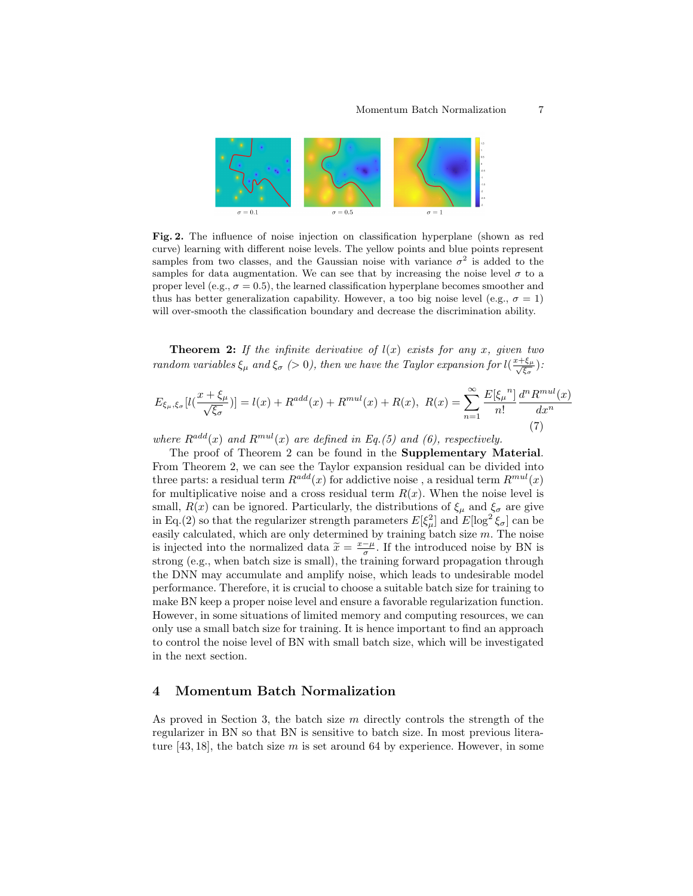

Fig. 2. The influence of noise injection on classification hyperplane (shown as red curve) learning with different noise levels. The yellow points and blue points represent samples from two classes, and the Gaussian noise with variance  $\sigma^2$  is added to the samples for data augmentation. We can see that by increasing the noise level  $\sigma$  to a proper level (e.g.,  $\sigma = 0.5$ ), the learned classification hyperplane becomes smoother and thus has better generalization capability. However, a too big noise level (e.g.,  $\sigma = 1$ ) will over-smooth the classification boundary and decrease the discrimination ability.

**Theorem 2:** If the infinite derivative of  $l(x)$  exists for any x, given two random variables  $\xi_{\mu}$  and  $\xi_{\sigma}$  (> 0), then we have the Taylor expansion for  $l(\frac{x+\xi_{\mu}}{\sqrt{\epsilon}})$  $\frac{\xi_\mu}{\xi_\sigma}\big)$  :

$$
E_{\xi_{\mu},\xi_{\sigma}}[l(\frac{x+\xi_{\mu}}{\sqrt{\xi_{\sigma}}})] = l(x) + R^{add}(x) + R^{mul}(x) + R(x), \ R(x) = \sum_{n=1}^{\infty} \frac{E[\xi_{\mu}^{n}]}{n!} \frac{d^{n} R^{mul}(x)}{dx^{n}}
$$
\n(7)

where  $R^{add}(x)$  and  $R^{mul}(x)$  are defined in Eq.(5) and (6), respectively.

The proof of Theorem 2 can be found in the Supplementary Material. From Theorem 2, we can see the Taylor expansion residual can be divided into three parts: a residual term  $R^{add}(x)$  for addictive noise, a residual term  $R^{mul}(x)$ for multiplicative noise and a cross residual term  $R(x)$ . When the noise level is small,  $R(x)$  can be ignored. Particularly, the distributions of  $\xi_{\mu}$  and  $\xi_{\sigma}$  are give in Eq.(2) so that the regularizer strength parameters  $E[\xi^2_\mu]$  and  $E[\log^2 \xi_\sigma]$  can be easily calculated, which are only determined by training batch size  $m$ . The noise is injected into the normalized data  $\tilde{x} = \frac{x-\mu}{\sigma}$ . If the introduced noise by BN is<br>strong (e.g., when batch size is small), the training forward proposation through strong (e.g., when batch size is small), the training forward propagation through the DNN may accumulate and amplify noise, which leads to undesirable model performance. Therefore, it is crucial to choose a suitable batch size for training to make BN keep a proper noise level and ensure a favorable regularization function. However, in some situations of limited memory and computing resources, we can only use a small batch size for training. It is hence important to find an approach to control the noise level of BN with small batch size, which will be investigated in the next section.

## 4 Momentum Batch Normalization

As proved in Section 3, the batch size  $m$  directly controls the strength of the regularizer in BN so that BN is sensitive to batch size. In most previous literature  $[43, 18]$ , the batch size m is set around 64 by experience. However, in some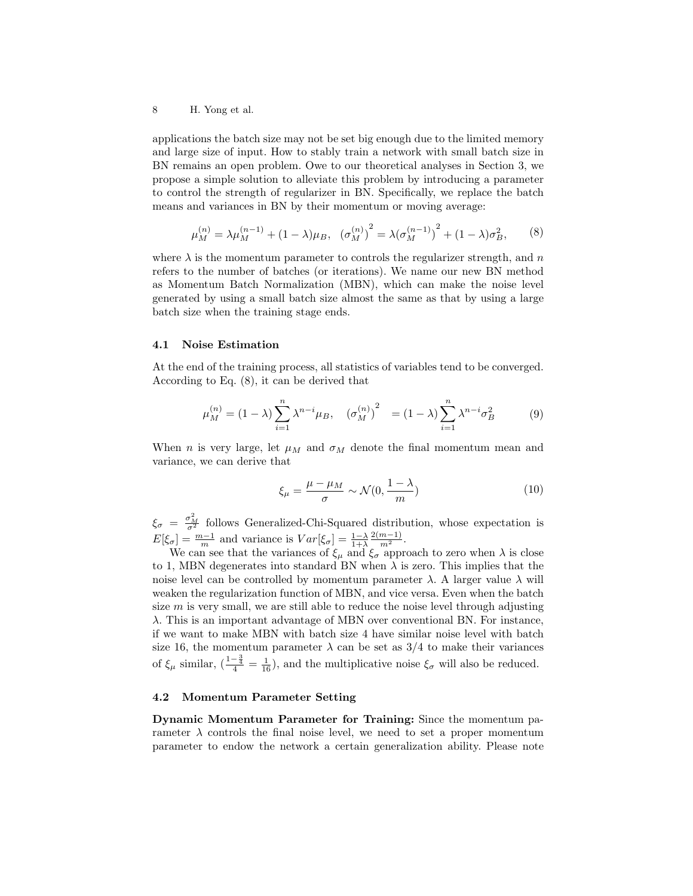applications the batch size may not be set big enough due to the limited memory and large size of input. How to stably train a network with small batch size in BN remains an open problem. Owe to our theoretical analyses in Section 3, we propose a simple solution to alleviate this problem by introducing a parameter to control the strength of regularizer in BN. Specifically, we replace the batch means and variances in BN by their momentum or moving average:

$$
\mu_M^{(n)} = \lambda \mu_M^{(n-1)} + (1 - \lambda)\mu_B, \quad (\sigma_M^{(n)})^2 = \lambda (\sigma_M^{(n-1)})^2 + (1 - \lambda)\sigma_B^2, \qquad (8)
$$

where  $\lambda$  is the momentum parameter to controls the regularizer strength, and n refers to the number of batches (or iterations). We name our new BN method as Momentum Batch Normalization (MBN), which can make the noise level generated by using a small batch size almost the same as that by using a large batch size when the training stage ends.

#### 4.1 Noise Estimation

At the end of the training process, all statistics of variables tend to be converged. According to Eq. (8), it can be derived that

$$
\mu_M^{(n)} = (1 - \lambda) \sum_{i=1}^n \lambda^{n-i} \mu_B, \quad (\sigma_M^{(n)})^2 = (1 - \lambda) \sum_{i=1}^n \lambda^{n-i} \sigma_B^2 \tag{9}
$$

When *n* is very large, let  $\mu_M$  and  $\sigma_M$  denote the final momentum mean and variance, we can derive that

$$
\xi_{\mu} = \frac{\mu - \mu_M}{\sigma} \sim \mathcal{N}(0, \frac{1 - \lambda}{m})
$$
\n(10)

 $\xi_{\sigma} = \frac{\sigma_M^2}{\sigma^2}$  follows Generalized-Chi-Squared distribution, whose expectation is  $E[\xi_{\sigma}] = \frac{m-1}{m}$  and variance is  $Var[\xi_{\sigma}] = \frac{1-\lambda}{1+\lambda}$  $\frac{2(m-1)}{m^2}$ .

We can see that the variances of  $\xi_{\mu}$  and  $\xi_{\sigma}$  approach to zero when  $\lambda$  is close to 1, MBN degenerates into standard BN when  $\lambda$  is zero. This implies that the noise level can be controlled by momentum parameter  $λ$ . A larger value  $λ$  will weaken the regularization function of MBN, and vice versa. Even when the batch size  $m$  is very small, we are still able to reduce the noise level through adjusting λ. This is an important advantage of MBN over conventional BN. For instance, if we want to make MBN with batch size 4 have similar noise level with batch size 16, the momentum parameter  $\lambda$  can be set as 3/4 to make their variances of  $\xi_{\mu}$  similar,  $\left(\frac{1-\frac{3}{4}}{4}=\frac{1}{16}\right)$ , and the multiplicative noise  $\xi_{\sigma}$  will also be reduced.

## 4.2 Momentum Parameter Setting

Dynamic Momentum Parameter for Training: Since the momentum parameter  $\lambda$  controls the final noise level, we need to set a proper momentum parameter to endow the network a certain generalization ability. Please note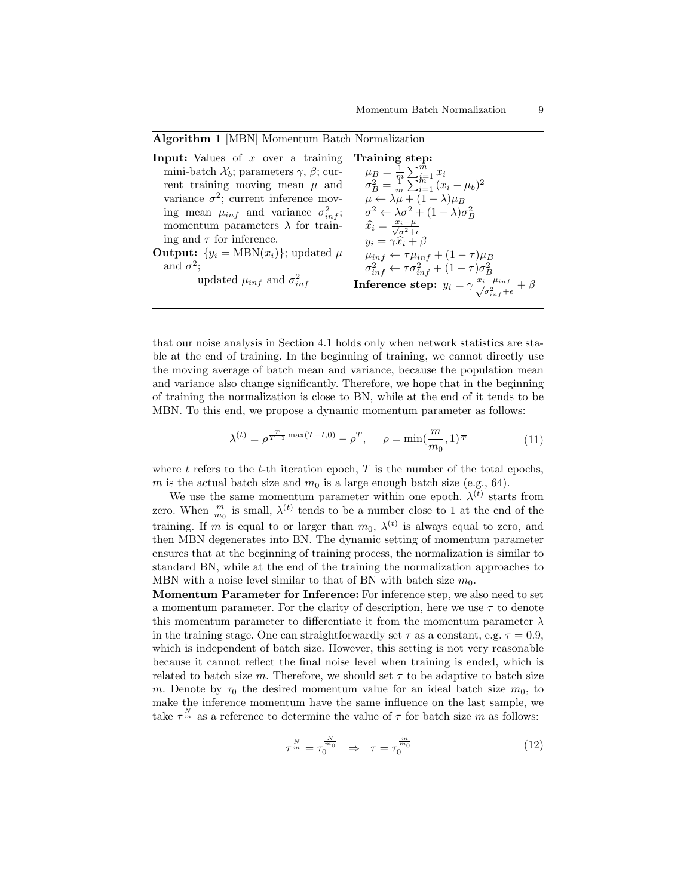| Algorithm 1 [MBN] Momentum Batch Normalization |  |  |  |
|------------------------------------------------|--|--|--|
|------------------------------------------------|--|--|--|

| <b>Input:</b> Values of x over a training                         | Training step:                                                                                         |
|-------------------------------------------------------------------|--------------------------------------------------------------------------------------------------------|
| mini-batch $\mathcal{X}_b$ ; parameters $\gamma$ , $\beta$ ; cur- | $\mu_B = \frac{1}{m} \sum_{i=1}^m x_i$                                                                 |
| rent training moving mean $\mu$ and                               | $\sigma_B^2 = \frac{1}{m} \sum_{i=1}^{m} (x_i - \mu_b)^2$                                              |
| variance $\sigma^2$ ; current inference mov-                      | $\mu \leftarrow \lambda \mu + (1 - \lambda) \mu_B$                                                     |
| ing mean $\mu_{inf}$ and variance $\sigma_{inf}^2$ ;              | $\sigma^2 \leftarrow \lambda \sigma^2 + (1 - \lambda) \sigma^2$                                        |
| momentum parameters $\lambda$ for train-                          | $\widehat{x_i} = \frac{x_i - \mu}{\sqrt{\sigma^2 + \epsilon}}$                                         |
| ing and $\tau$ for inference.                                     | $y_i = \gamma \hat{x_i} + \beta$                                                                       |
| <b>Output:</b> $\{y_i = \text{MBN}(x_i)\}\;$ ; updated $\mu$      | $\mu_{inf} \leftarrow \tau \mu_{inf} + (1 - \tau) \mu_B$                                               |
| and $\sigma^2$ :                                                  | $\sigma_{inf}^2 \leftarrow \tau \sigma_{inf}^2 + (1 - \tau) \sigma_B^2$                                |
| updated $\mu_{inf}$ and $\sigma_{inf}^2$                          | <b>Inference step:</b> $y_i = \gamma \frac{x_i - \mu_{inf}}{\sqrt{\sigma_{inf}^2 + \epsilon}} + \beta$ |

that our noise analysis in Section 4.1 holds only when network statistics are stable at the end of training. In the beginning of training, we cannot directly use the moving average of batch mean and variance, because the population mean and variance also change significantly. Therefore, we hope that in the beginning of training the normalization is close to BN, while at the end of it tends to be MBN. To this end, we propose a dynamic momentum parameter as follows:

$$
\lambda^{(t)} = \rho^{\frac{T}{T-1}\max(T-t,0)} - \rho^T, \quad \rho = \min(\frac{m}{m_0}, 1)^{\frac{1}{T}}
$$
(11)

where t refers to the t-th iteration epoch,  $T$  is the number of the total epochs, m is the actual batch size and  $m_0$  is a large enough batch size (e.g., 64).

We use the same momentum parameter within one epoch.  $\lambda^{(t)}$  starts from zero. When  $\frac{m}{m_0}$  is small,  $\lambda^{(t)}$  tends to be a number close to 1 at the end of the training. If m is equal to or larger than  $m_0$ ,  $\lambda^{(t)}$  is always equal to zero, and then MBN degenerates into BN. The dynamic setting of momentum parameter ensures that at the beginning of training process, the normalization is similar to standard BN, while at the end of the training the normalization approaches to MBN with a noise level similar to that of BN with batch size  $m_0$ .

Momentum Parameter for Inference: For inference step, we also need to set a momentum parameter. For the clarity of description, here we use  $\tau$  to denote this momentum parameter to differentiate it from the momentum parameter  $\lambda$ in the training stage. One can straightforwardly set  $\tau$  as a constant, e.g.  $\tau = 0.9$ , which is independent of batch size. However, this setting is not very reasonable because it cannot reflect the final noise level when training is ended, which is related to batch size m. Therefore, we should set  $\tau$  to be adaptive to batch size m. Denote by  $\tau_0$  the desired momentum value for an ideal batch size  $m_0$ , to make the inference momentum have the same influence on the last sample, we take  $\tau^{\frac{N}{m}}$  as a reference to determine the value of  $\tau$  for batch size m as follows:

$$
\tau^{\frac{N}{m}} = \tau_0^{\frac{N}{m_0}} \Rightarrow \tau = \tau_0^{\frac{m}{m_0}} \tag{12}
$$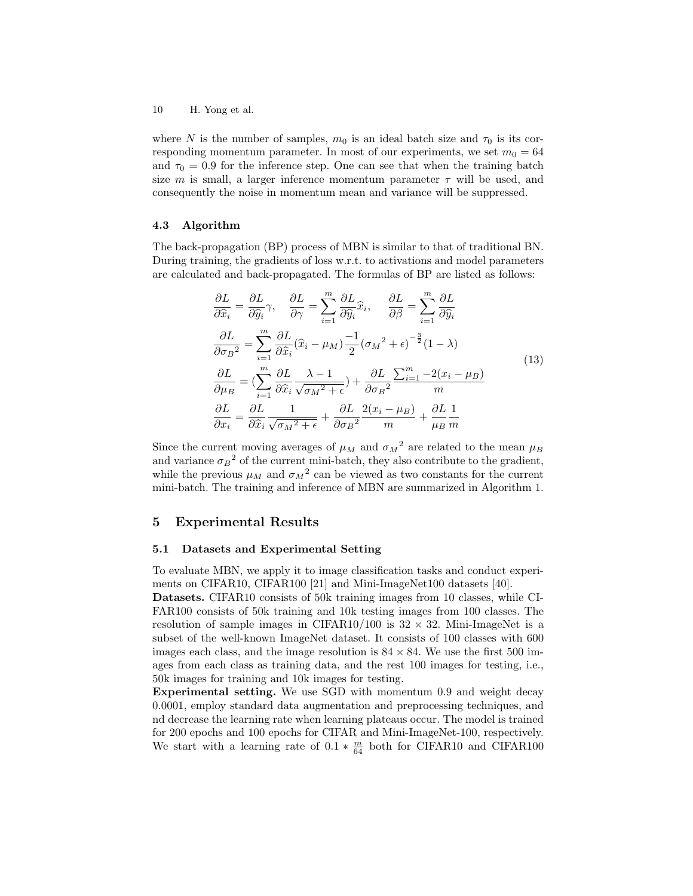where N is the number of samples,  $m_0$  is an ideal batch size and  $\tau_0$  is its corresponding momentum parameter. In most of our experiments, we set  $m_0 = 64$ and  $\tau_0 = 0.9$  for the inference step. One can see that when the training batch size m is small, a larger inference momentum parameter  $\tau$  will be used, and consequently the noise in momentum mean and variance will be suppressed.

#### 4.3 Algorithm

The back-propagation (BP) process of MBN is similar to that of traditional BN. During training, the gradients of loss w.r.t. to activations and model parameters are calculated and back-propagated. The formulas of BP are listed as follows:

$$
\frac{\partial L}{\partial \hat{x}_i} = \frac{\partial L}{\partial \hat{y}_i} \gamma, \quad \frac{\partial L}{\partial \gamma} = \sum_{i=1}^m \frac{\partial L}{\partial \hat{y}_i} \hat{x}_i, \quad \frac{\partial L}{\partial \beta} = \sum_{i=1}^m \frac{\partial L}{\partial \hat{y}_i}
$$
\n
$$
\frac{\partial L}{\partial \sigma_B^2} = \sum_{i=1}^m \frac{\partial L}{\partial \hat{x}_i} (\hat{x}_i - \mu_M) \frac{-1}{2} (\sigma_M^2 + \epsilon)^{-\frac{3}{2}} (1 - \lambda)
$$
\n
$$
\frac{\partial L}{\partial \mu_B} = \left( \sum_{i=1}^m \frac{\partial L}{\partial \hat{x}_i} \frac{\lambda - 1}{\sqrt{\sigma_M^2 + \epsilon}} \right) + \frac{\partial L}{\partial \sigma_B^2} \frac{\sum_{i=1}^m -2(x_i - \mu_B)}{m}
$$
\n
$$
\frac{\partial L}{\partial x_i} = \frac{\partial L}{\partial \hat{x}_i} \frac{1}{\sqrt{\sigma_M^2 + \epsilon}} + \frac{\partial L}{\partial \sigma_B^2} \frac{2(x_i - \mu_B)}{m} + \frac{\partial L}{\mu_B} \frac{1}{m}
$$
\n(13)

Since the current moving averages of  $\mu_M$  and  $\sigma_M^2$  are related to the mean  $\mu_B$ and variance  $\sigma_B^2$  of the current mini-batch, they also contribute to the gradient, while the previous  $\mu_M$  and  $\sigma_M^2$  can be viewed as two constants for the current mini-batch. The training and inference of MBN are summarized in Algorithm 1.

## 5 Experimental Results

## 5.1 Datasets and Experimental Setting

To evaluate MBN, we apply it to image classification tasks and conduct experiments on CIFAR10, CIFAR100 [21] and Mini-ImageNet100 datasets [40].

Datasets. CIFAR10 consists of 50k training images from 10 classes, while CI-FAR100 consists of 50k training and 10k testing images from 100 classes. The resolution of sample images in CIFAR10/100 is  $32 \times 32$ . Mini-ImageNet is a subset of the well-known ImageNet dataset. It consists of 100 classes with 600 images each class, and the image resolution is  $84 \times 84$ . We use the first 500 images from each class as training data, and the rest 100 images for testing, i.e., 50k images for training and 10k images for testing.

Experimental setting. We use SGD with momentum 0.9 and weight decay 0.0001, employ standard data augmentation and preprocessing techniques, and nd decrease the learning rate when learning plateaus occur. The model is trained for 200 epochs and 100 epochs for CIFAR and Mini-ImageNet-100, respectively. We start with a learning rate of  $0.1 * \frac{m}{64}$  both for CIFAR10 and CIFAR100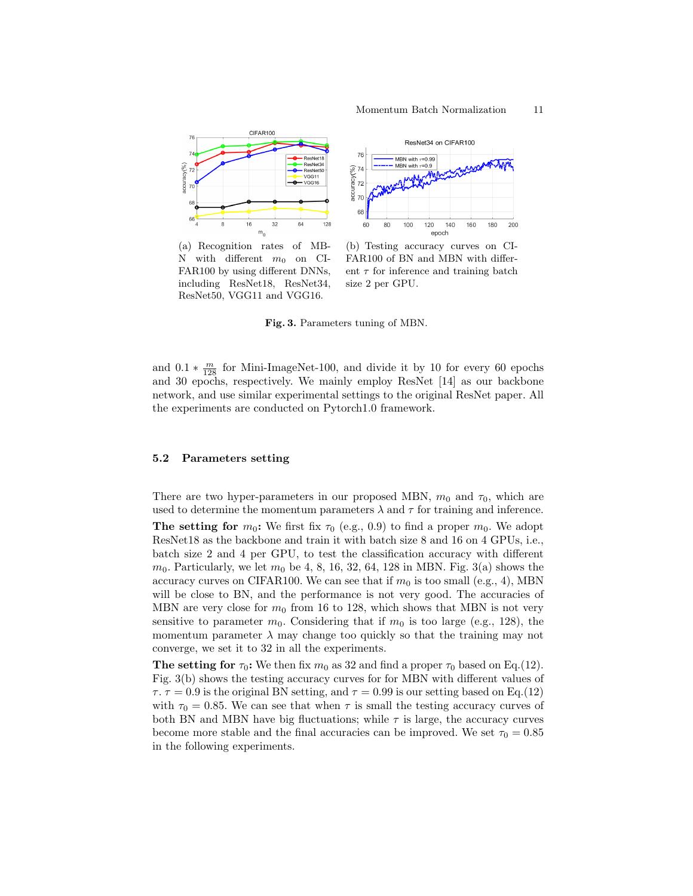

(a) Recognition rates of MB-N with different  $m_0$  on CI-FAR100 by using different DNNs, including ResNet18, ResNet34, ResNet50, VGG11 and VGG16.

(b) Testing accuracy curves on CI-FAR100 of BN and MBN with different  $\tau$  for inference and training batch size 2 per GPU.

Fig. 3. Parameters tuning of MBN.

and  $0.1 * \frac{m}{128}$  for Mini-ImageNet-100, and divide it by 10 for every 60 epochs and 30 epochs, respectively. We mainly employ ResNet [14] as our backbone network, and use similar experimental settings to the original ResNet paper. All the experiments are conducted on Pytorch1.0 framework.

#### 5.2 Parameters setting

There are two hyper-parameters in our proposed MBN,  $m_0$  and  $\tau_0$ , which are used to determine the momentum parameters  $\lambda$  and  $\tau$  for training and inference.

The setting for  $m_0$ : We first fix  $\tau_0$  (e.g., 0.9) to find a proper  $m_0$ . We adopt ResNet18 as the backbone and train it with batch size 8 and 16 on 4 GPUs, i.e., batch size 2 and 4 per GPU, to test the classification accuracy with different  $m_0$ . Particularly, we let  $m_0$  be 4, 8, 16, 32, 64, 128 in MBN. Fig. 3(a) shows the accuracy curves on CIFAR100. We can see that if  $m_0$  is too small (e.g., 4), MBN will be close to BN, and the performance is not very good. The accuracies of MBN are very close for  $m_0$  from 16 to 128, which shows that MBN is not very sensitive to parameter  $m_0$ . Considering that if  $m_0$  is too large (e.g., 128), the momentum parameter  $\lambda$  may change too quickly so that the training may not converge, we set it to 32 in all the experiments.

The setting for  $\tau_0$ : We then fix  $m_0$  as 32 and find a proper  $\tau_0$  based on Eq.(12). Fig. 3(b) shows the testing accuracy curves for for MBN with different values of  $\tau$ ,  $\tau = 0.9$  is the original BN setting, and  $\tau = 0.99$  is our setting based on Eq. (12) with  $\tau_0 = 0.85$ . We can see that when  $\tau$  is small the testing accuracy curves of both BN and MBN have big fluctuations; while  $\tau$  is large, the accuracy curves become more stable and the final accuracies can be improved. We set  $\tau_0 = 0.85$ in the following experiments.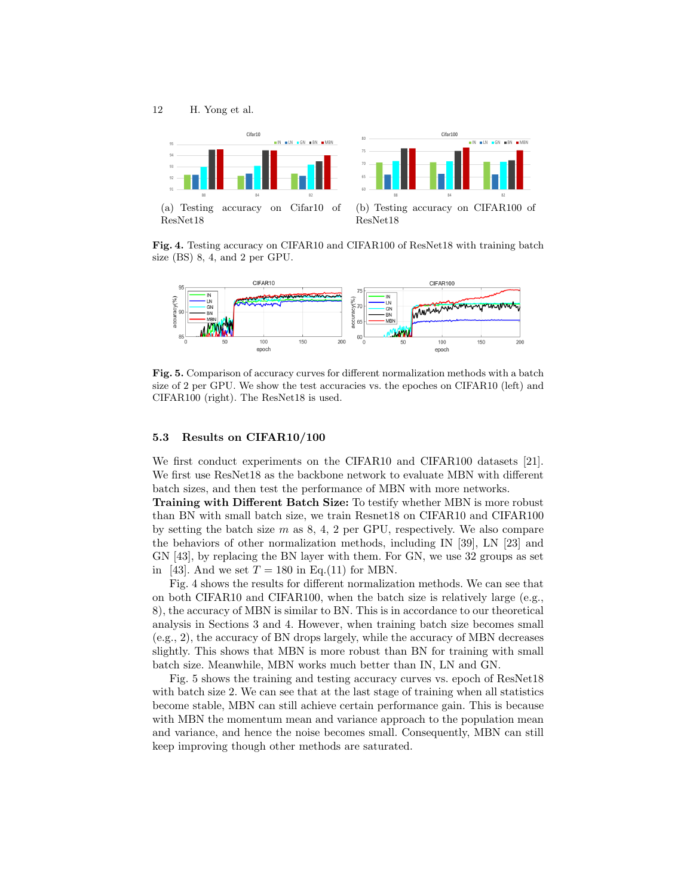

Fig. 4. Testing accuracy on CIFAR10 and CIFAR100 of ResNet18 with training batch size (BS) 8, 4, and 2 per GPU.



Fig. 5. Comparison of accuracy curves for different normalization methods with a batch size of 2 per GPU. We show the test accuracies vs. the epoches on CIFAR10 (left) and CIFAR100 (right). The ResNet18 is used.

#### 5.3 Results on CIFAR10/100

We first conduct experiments on the CIFAR10 and CIFAR100 datasets [21]. We first use ResNet18 as the backbone network to evaluate MBN with different batch sizes, and then test the performance of MBN with more networks.

Training with Different Batch Size: To testify whether MBN is more robust than BN with small batch size, we train Resnet18 on CIFAR10 and CIFAR100 by setting the batch size  $m$  as  $8, 4, 2$  per GPU, respectively. We also compare the behaviors of other normalization methods, including IN [39], LN [23] and GN [43], by replacing the BN layer with them. For GN, we use 32 groups as set in [43]. And we set  $T = 180$  in Eq.(11) for MBN.

Fig. 4 shows the results for different normalization methods. We can see that on both CIFAR10 and CIFAR100, when the batch size is relatively large (e.g., 8), the accuracy of MBN is similar to BN. This is in accordance to our theoretical analysis in Sections 3 and 4. However, when training batch size becomes small (e.g., 2), the accuracy of BN drops largely, while the accuracy of MBN decreases slightly. This shows that MBN is more robust than BN for training with small batch size. Meanwhile, MBN works much better than IN, LN and GN.

Fig. 5 shows the training and testing accuracy curves vs. epoch of ResNet18 with batch size 2. We can see that at the last stage of training when all statistics become stable, MBN can still achieve certain performance gain. This is because with MBN the momentum mean and variance approach to the population mean and variance, and hence the noise becomes small. Consequently, MBN can still keep improving though other methods are saturated.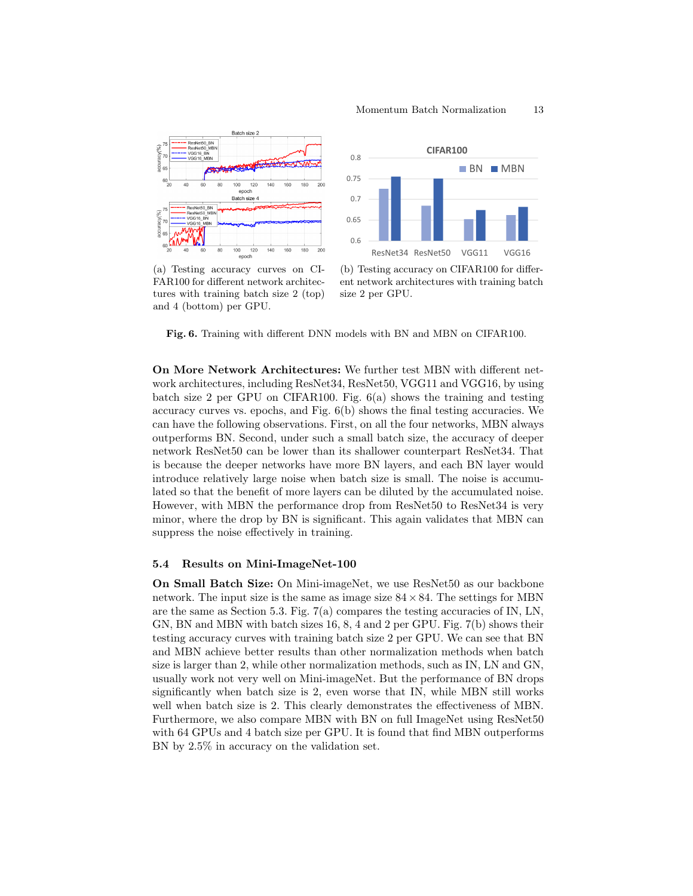



(a) Testing accuracy curves on CI-FAR100 for different network architectures with training batch size 2 (top) and 4 (bottom) per GPU.

(b) Testing accuracy on CIFAR100 for different network architectures with training batch size 2 per GPU.

Fig. 6. Training with different DNN models with BN and MBN on CIFAR100.

On More Network Architectures: We further test MBN with different network architectures, including ResNet34, ResNet50, VGG11 and VGG16, by using batch size 2 per GPU on CIFAR100. Fig. 6(a) shows the training and testing accuracy curves vs. epochs, and Fig.  $6(b)$  shows the final testing accuracies. We can have the following observations. First, on all the four networks, MBN always outperforms BN. Second, under such a small batch size, the accuracy of deeper network ResNet50 can be lower than its shallower counterpart ResNet34. That is because the deeper networks have more BN layers, and each BN layer would introduce relatively large noise when batch size is small. The noise is accumulated so that the benefit of more layers can be diluted by the accumulated noise. However, with MBN the performance drop from ResNet50 to ResNet34 is very minor, where the drop by BN is significant. This again validates that MBN can suppress the noise effectively in training.

#### 5.4 Results on Mini-ImageNet-100

On Small Batch Size: On Mini-imageNet, we use ResNet50 as our backbone network. The input size is the same as image size  $84 \times 84$ . The settings for MBN are the same as Section 5.3. Fig.  $7(a)$  compares the testing accuracies of IN, LN, GN, BN and MBN with batch sizes 16, 8, 4 and 2 per GPU. Fig. 7(b) shows their testing accuracy curves with training batch size 2 per GPU. We can see that BN and MBN achieve better results than other normalization methods when batch size is larger than 2, while other normalization methods, such as IN, LN and GN, usually work not very well on Mini-imageNet. But the performance of BN drops significantly when batch size is 2, even worse that IN, while MBN still works well when batch size is 2. This clearly demonstrates the effectiveness of MBN. Furthermore, we also compare MBN with BN on full ImageNet using ResNet50 with 64 GPUs and 4 batch size per GPU. It is found that find MBN outperforms BN by 2.5% in accuracy on the validation set.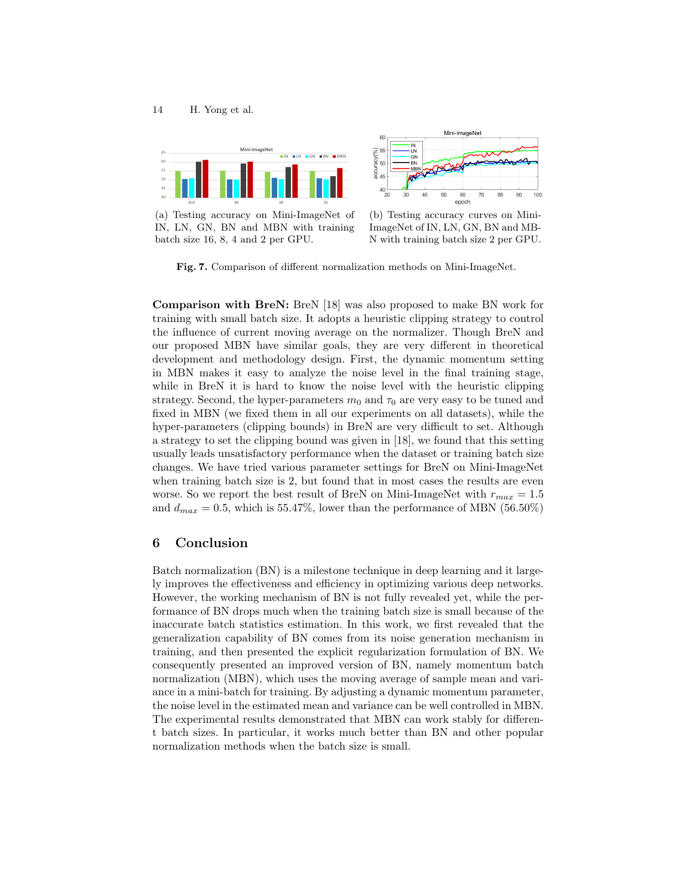

(a) Testing accuracy on Mini-ImageNet of IN, LN, GN, BN and MBN with training batch size 16, 8, 4 and 2 per GPU.



(b) Testing accuracy curves on Mini-ImageNet of IN, LN, GN, BN and MB-N with training batch size 2 per GPU.

Fig. 7. Comparison of different normalization methods on Mini-ImageNet.

Comparison with BreN: BreN [18] was also proposed to make BN work for training with small batch size. It adopts a heuristic clipping strategy to control the influence of current moving average on the normalizer. Though BreN and our proposed MBN have similar goals, they are very different in theoretical development and methodology design. First, the dynamic momentum setting in MBN makes it easy to analyze the noise level in the final training stage, while in BreN it is hard to know the noise level with the heuristic clipping strategy. Second, the hyper-parameters  $m_0$  and  $\tau_0$  are very easy to be tuned and fixed in MBN (we fixed them in all our experiments on all datasets), while the hyper-parameters (clipping bounds) in BreN are very difficult to set. Although a strategy to set the clipping bound was given in [18], we found that this setting usually leads unsatisfactory performance when the dataset or training batch size changes. We have tried various parameter settings for BreN on Mini-ImageNet when training batch size is 2, but found that in most cases the results are even worse. So we report the best result of BreN on Mini-ImageNet with  $r_{max} = 1.5$ and  $d_{max} = 0.5$ , which is 55.47%, lower than the performance of MBN (56.50%)

## 6 Conclusion

Batch normalization (BN) is a milestone technique in deep learning and it largely improves the effectiveness and efficiency in optimizing various deep networks. However, the working mechanism of BN is not fully revealed yet, while the performance of BN drops much when the training batch size is small because of the inaccurate batch statistics estimation. In this work, we first revealed that the generalization capability of BN comes from its noise generation mechanism in training, and then presented the explicit regularization formulation of BN. We consequently presented an improved version of BN, namely momentum batch normalization (MBN), which uses the moving average of sample mean and variance in a mini-batch for training. By adjusting a dynamic momentum parameter, the noise level in the estimated mean and variance can be well controlled in MBN. The experimental results demonstrated that MBN can work stably for different batch sizes. In particular, it works much better than BN and other popular normalization methods when the batch size is small.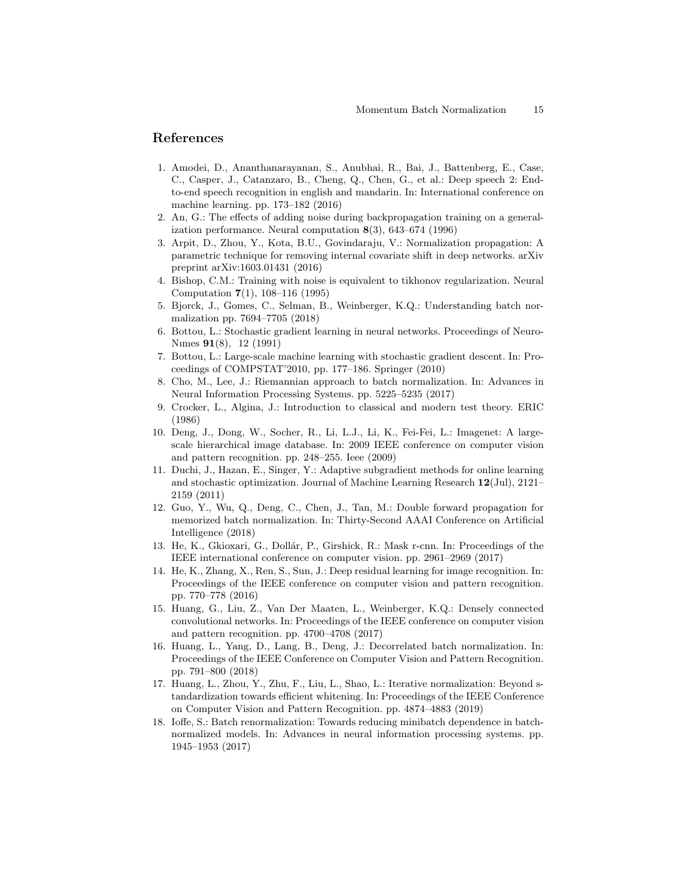# References

- 1. Amodei, D., Ananthanarayanan, S., Anubhai, R., Bai, J., Battenberg, E., Case, C., Casper, J., Catanzaro, B., Cheng, Q., Chen, G., et al.: Deep speech 2: Endto-end speech recognition in english and mandarin. In: International conference on machine learning. pp. 173–182 (2016)
- 2. An, G.: The effects of adding noise during backpropagation training on a generalization performance. Neural computation 8(3), 643–674 (1996)
- 3. Arpit, D., Zhou, Y., Kota, B.U., Govindaraju, V.: Normalization propagation: A parametric technique for removing internal covariate shift in deep networks. arXiv preprint arXiv:1603.01431 (2016)
- 4. Bishop, C.M.: Training with noise is equivalent to tikhonov regularization. Neural Computation 7(1), 108–116 (1995)
- 5. Bjorck, J., Gomes, C., Selman, B., Weinberger, K.Q.: Understanding batch normalization pp. 7694–7705 (2018)
- 6. Bottou, L.: Stochastic gradient learning in neural networks. Proceedings of Neuro-Nımes 91(8), 12 (1991)
- 7. Bottou, L.: Large-scale machine learning with stochastic gradient descent. In: Proceedings of COMPSTAT'2010, pp. 177–186. Springer (2010)
- 8. Cho, M., Lee, J.: Riemannian approach to batch normalization. In: Advances in Neural Information Processing Systems. pp. 5225–5235 (2017)
- 9. Crocker, L., Algina, J.: Introduction to classical and modern test theory. ERIC (1986)
- 10. Deng, J., Dong, W., Socher, R., Li, L.J., Li, K., Fei-Fei, L.: Imagenet: A largescale hierarchical image database. In: 2009 IEEE conference on computer vision and pattern recognition. pp. 248–255. Ieee (2009)
- 11. Duchi, J., Hazan, E., Singer, Y.: Adaptive subgradient methods for online learning and stochastic optimization. Journal of Machine Learning Research 12(Jul), 2121– 2159 (2011)
- 12. Guo, Y., Wu, Q., Deng, C., Chen, J., Tan, M.: Double forward propagation for memorized batch normalization. In: Thirty-Second AAAI Conference on Artificial Intelligence (2018)
- 13. He, K., Gkioxari, G., Dollár, P., Girshick, R.: Mask r-cnn. In: Proceedings of the IEEE international conference on computer vision. pp. 2961–2969 (2017)
- 14. He, K., Zhang, X., Ren, S., Sun, J.: Deep residual learning for image recognition. In: Proceedings of the IEEE conference on computer vision and pattern recognition. pp. 770–778 (2016)
- 15. Huang, G., Liu, Z., Van Der Maaten, L., Weinberger, K.Q.: Densely connected convolutional networks. In: Proceedings of the IEEE conference on computer vision and pattern recognition. pp. 4700–4708 (2017)
- 16. Huang, L., Yang, D., Lang, B., Deng, J.: Decorrelated batch normalization. In: Proceedings of the IEEE Conference on Computer Vision and Pattern Recognition. pp. 791–800 (2018)
- 17. Huang, L., Zhou, Y., Zhu, F., Liu, L., Shao, L.: Iterative normalization: Beyond standardization towards efficient whitening. In: Proceedings of the IEEE Conference on Computer Vision and Pattern Recognition. pp. 4874–4883 (2019)
- 18. Ioffe, S.: Batch renormalization: Towards reducing minibatch dependence in batchnormalized models. In: Advances in neural information processing systems. pp. 1945–1953 (2017)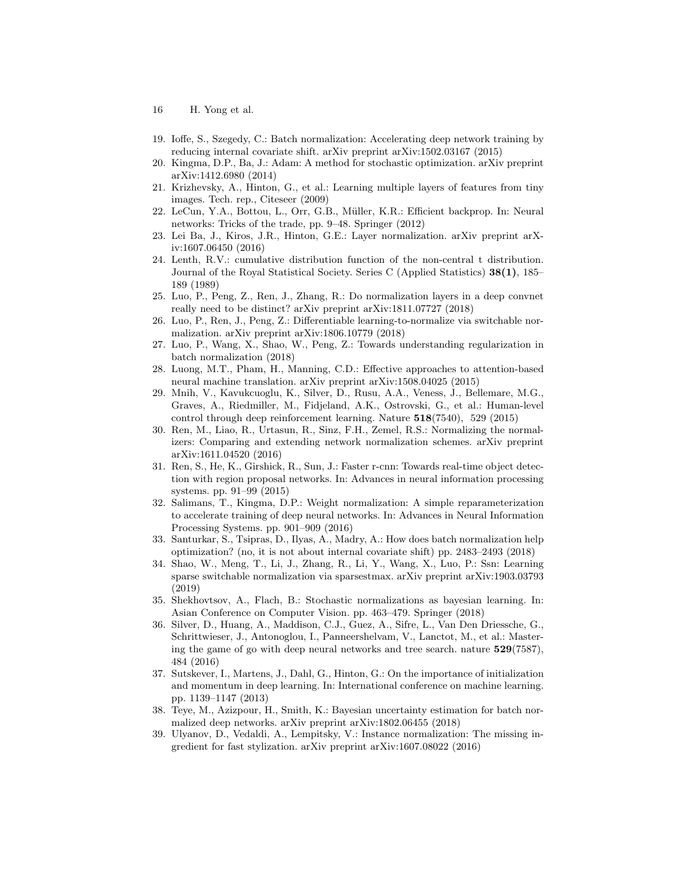- 16 H. Yong et al.
- 19. Ioffe, S., Szegedy, C.: Batch normalization: Accelerating deep network training by reducing internal covariate shift. arXiv preprint arXiv:1502.03167 (2015)
- 20. Kingma, D.P., Ba, J.: Adam: A method for stochastic optimization. arXiv preprint arXiv:1412.6980 (2014)
- 21. Krizhevsky, A., Hinton, G., et al.: Learning multiple layers of features from tiny images. Tech. rep., Citeseer (2009)
- 22. LeCun, Y.A., Bottou, L., Orr, G.B., M¨uller, K.R.: Efficient backprop. In: Neural networks: Tricks of the trade, pp. 9–48. Springer (2012)
- 23. Lei Ba, J., Kiros, J.R., Hinton, G.E.: Layer normalization. arXiv preprint arXiv:1607.06450 (2016)
- 24. Lenth, R.V.: cumulative distribution function of the non-central t distribution. Journal of the Royal Statistical Society. Series C (Applied Statistics) 38(1), 185– 189 (1989)
- 25. Luo, P., Peng, Z., Ren, J., Zhang, R.: Do normalization layers in a deep convnet really need to be distinct? arXiv preprint arXiv:1811.07727 (2018)
- 26. Luo, P., Ren, J., Peng, Z.: Differentiable learning-to-normalize via switchable normalization. arXiv preprint arXiv:1806.10779 (2018)
- 27. Luo, P., Wang, X., Shao, W., Peng, Z.: Towards understanding regularization in batch normalization (2018)
- 28. Luong, M.T., Pham, H., Manning, C.D.: Effective approaches to attention-based neural machine translation. arXiv preprint arXiv:1508.04025 (2015)
- 29. Mnih, V., Kavukcuoglu, K., Silver, D., Rusu, A.A., Veness, J., Bellemare, M.G., Graves, A., Riedmiller, M., Fidjeland, A.K., Ostrovski, G., et al.: Human-level control through deep reinforcement learning. Nature 518(7540), 529 (2015)
- 30. Ren, M., Liao, R., Urtasun, R., Sinz, F.H., Zemel, R.S.: Normalizing the normalizers: Comparing and extending network normalization schemes. arXiv preprint arXiv:1611.04520 (2016)
- 31. Ren, S., He, K., Girshick, R., Sun, J.: Faster r-cnn: Towards real-time object detection with region proposal networks. In: Advances in neural information processing systems. pp. 91–99 (2015)
- 32. Salimans, T., Kingma, D.P.: Weight normalization: A simple reparameterization to accelerate training of deep neural networks. In: Advances in Neural Information Processing Systems. pp. 901–909 (2016)
- 33. Santurkar, S., Tsipras, D., Ilyas, A., Madry, A.: How does batch normalization help optimization? (no, it is not about internal covariate shift) pp. 2483–2493 (2018)
- 34. Shao, W., Meng, T., Li, J., Zhang, R., Li, Y., Wang, X., Luo, P.: Ssn: Learning sparse switchable normalization via sparsestmax. arXiv preprint arXiv:1903.03793 (2019)
- 35. Shekhovtsov, A., Flach, B.: Stochastic normalizations as bayesian learning. In: Asian Conference on Computer Vision. pp. 463–479. Springer (2018)
- 36. Silver, D., Huang, A., Maddison, C.J., Guez, A., Sifre, L., Van Den Driessche, G., Schrittwieser, J., Antonoglou, I., Panneershelvam, V., Lanctot, M., et al.: Mastering the game of go with deep neural networks and tree search. nature 529(7587), 484 (2016)
- 37. Sutskever, I., Martens, J., Dahl, G., Hinton, G.: On the importance of initialization and momentum in deep learning. In: International conference on machine learning. pp. 1139–1147 (2013)
- 38. Teye, M., Azizpour, H., Smith, K.: Bayesian uncertainty estimation for batch normalized deep networks. arXiv preprint arXiv:1802.06455 (2018)
- 39. Ulyanov, D., Vedaldi, A., Lempitsky, V.: Instance normalization: The missing ingredient for fast stylization. arXiv preprint arXiv:1607.08022 (2016)